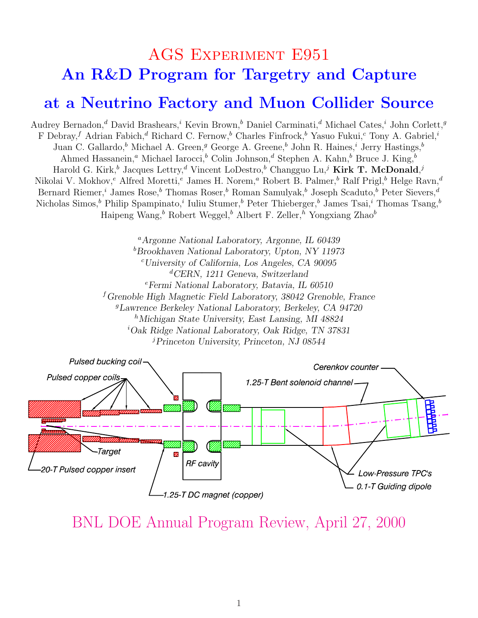### AGS Experiment E951 An R&D Program for Targetry and Capture

#### at a Neutrino Factory and Muon Collider Source

Audrey Bernadon,<sup>d</sup> David Brashears,<sup>i</sup> Kevin Brown,<sup>b</sup> Daniel Carminati,<sup>d</sup> Michael Cates,<sup>i</sup> John Corlett,<sup>g</sup> F Debray,<sup>f</sup> Adrian Fabich,<sup>d</sup> Richard C. Fernow,<sup>b</sup> Charles Finfrock,<sup>b</sup> Yasuo Fukui,<sup>c</sup> Tony A. Gabriel,<sup>i</sup> Juan C. Gallardo,<sup>b</sup> Michael A. Green,<sup>g</sup> George A. Greene,<sup>b</sup> John R. Haines,<sup>i</sup> Jerry Hastings,<sup>b</sup> Ahmed Hassanein,<sup>a</sup> Michael Iarocci,<sup>b</sup> Colin Johnson,<sup>d</sup> Stephen A. Kahn,<sup>b</sup> Bruce J. King,<sup>b</sup> Harold G. Kirk,<sup>b</sup> Jacques Lettry,<sup>d</sup> Vincent LoDestro,<sup>b</sup> Changguo Lu,<sup>j</sup> Kirk T. McDonald,<sup>j</sup> Nikolai V. Mokhov,<sup>e</sup> Alfred Moretti,<sup>e</sup> James H. Norem,<sup>a</sup> Robert B. Palmer,<sup>b</sup> Ralf Prigl,<sup>b</sup> Helge Ravn,<sup>d</sup> Bernard Riemer,<sup>*i*</sup> James Rose,<sup>b</sup> Thomas Roser,<sup>b</sup> Roman Samulyak,<sup>b</sup> Joseph Scaduto,<sup>b</sup> Peter Sievers,<sup>d</sup> Nicholas Simos,<sup>b</sup> Philip Spampinato,<sup>i</sup> Iuliu Stumer,<sup>b</sup> Peter Thieberger,<sup>b</sup> James Tsai,<sup>i</sup> Thomas Tsang,<sup>b</sup> Haipeng Wang,<sup>b</sup> Robert Weggel,<sup>b</sup> Albert F. Zeller,<sup>h</sup> Yongxiang Zhao<sup>b</sup>

> <sup>a</sup>Argonne National Laboratory, Argonne, IL 60439  $b$ Brookhaven National Laboratory, Upton, NY 11973  $c$ University of California, Los Angeles, CA 90095  ${}^d$ CERN, 1211 Geneva, Switzerland  $e$ Fermi National Laboratory, Batavia, IL 60510 <sup>f</sup> Grenoble High Magnetic Field Laboratory, 38042 Grenoble, France <sup>g</sup>Lawrence Berkeley National Laboratory, Berkeley, CA 94720 <sup>h</sup>Michigan State University, East Lansing, MI  $48824$  $iOak$  Ridge National Laboratory, Oak Ridge, TN 37831  $j$ Princeton University, Princeton, NJ 08544



BNL DOE Annual Program Review, April 27, 2000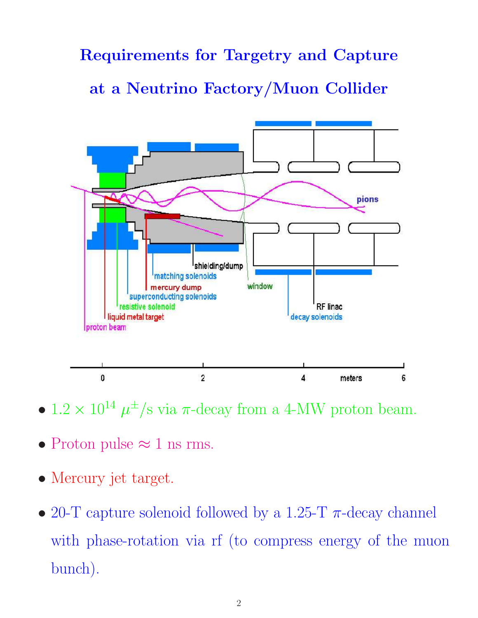### Requirements for Targetry and Capture

at a Neutrino Factory/Muon Collider



- $1.2 \times 10^{14} \mu^{\pm}/s$  via  $\pi$ -decay from a 4-MW proton beam.
- Proton pulse  $\approx 1$  ns rms.
- Mercury jet target.
- 20-T capture solenoid followed by a 1.25-T  $\pi$ -decay channel with phase-rotation via rf (to compress energy of the muon bunch).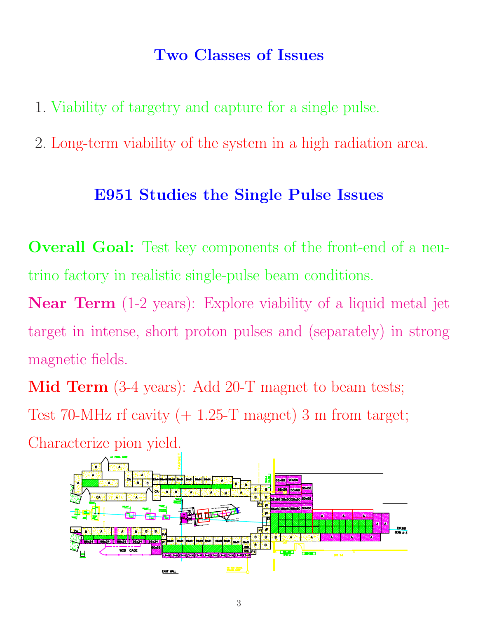#### Two Classes of Issues

- 1. Viability of targetry and capture for a single pulse.
- 2. Long-term viability of the system in a high radiation area.

#### E951 Studies the Single Pulse Issues

**Overall Goal:** Test key components of the front-end of a neutrino factory in realistic single-pulse beam conditions.

Near Term (1-2 years): Explore viability of a liquid metal jet target in intense, short proton pulses and (separately) in strong magnetic fields.

Mid Term  $(3-4 \text{ years})$ : Add  $20-T$  magnet to beam tests; Test 70-MHz rf cavity  $(+ 1.25-T$  magnet) 3 m from target; Characterize pion yield.

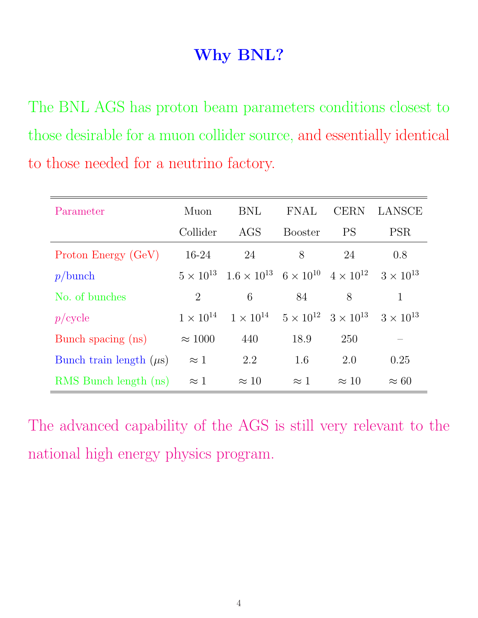## Why BNL?

The BNL AGS has proton beam parameters conditions closest to those desirable for a muon collider source, and essentially identical to those needed for a neutrino factory.

| Parameter                    | Muon               | <b>BNL</b>                                                                                       | <b>FNAL</b>    | <b>CERN</b>                                              | LANSCE       |
|------------------------------|--------------------|--------------------------------------------------------------------------------------------------|----------------|----------------------------------------------------------|--------------|
|                              | Collider           | AGS                                                                                              | <b>Booster</b> | <b>PS</b>                                                | <b>PSR</b>   |
| Proton Energy (GeV)          | $16-24$            | 24                                                                                               | 8              | 24                                                       | 0.8          |
| p/bunch                      |                    | $5 \times 10^{13}$ $1.6 \times 10^{13}$ $6 \times 10^{10}$ $4 \times 10^{12}$ $3 \times 10^{13}$ |                |                                                          |              |
| No. of bunches               | $\overline{2}$     | 6                                                                                                | 84             | 8                                                        |              |
| $p$ /cycle                   | $1 \times 10^{14}$ | $1 \times 10^{14}$                                                                               |                | $5 \times 10^{12}$ $3 \times 10^{13}$ $3 \times 10^{13}$ |              |
| Bunch spacing (ns)           | $\approx 1000$     | 440                                                                                              | 18.9           | 250                                                      |              |
| Bunch train length $(\mu s)$ | $\approx 1$        | 2.2                                                                                              | 1.6            | 2.0                                                      | 0.25         |
| RMS Bunch length (ns)        | $\approx 1$        | $\approx 10$                                                                                     | $\approx 1$    | $\approx 10$                                             | $\approx 60$ |

The advanced capability of the AGS is still very relevant to the national high energy physics program.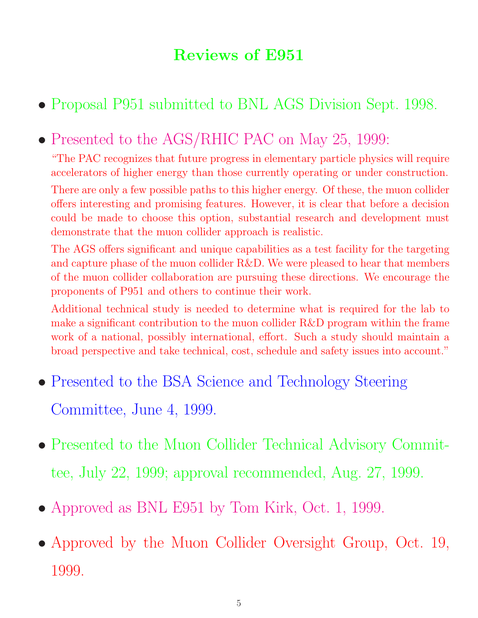## Reviews of E951

• Proposal P951 submitted to BNL AGS Division Sept. 1998.

# • Presented to the AGS/RHIC PAC on May 25, 1999:

"The PAC recognizes that future progress in elementary particle physics will require accelerators of higher energy than those currently operating or under construction.

There are only a few possible paths to this higher energy. Of these, the muon collider offers interesting and promising features. However, it is clear that before a decision could be made to choose this option, substantial research and development must demonstrate that the muon collider approach is realistic.

The AGS offers significant and unique capabilities as a test facility for the targeting and capture phase of the muon collider R&D. We were pleased to hear that members of the muon collider collaboration are pursuing these directions. We encourage the proponents of P951 and others to continue their work.

Additional technical study is needed to determine what is required for the lab to make a significant contribution to the muon collider R&D program within the frame work of a national, possibly international, effort. Such a study should maintain a broad perspective and take technical, cost, schedule and safety issues into account."

- Presented to the BSA Science and Technology Steering Committee, June 4, 1999.
- Presented to the Muon Collider Technical Advisory Committee, July 22, 1999; approval recommended, Aug. 27, 1999.
- Approved as BNL E951 by Tom Kirk, Oct. 1, 1999.
- Approved by the Muon Collider Oversight Group, Oct. 19, 1999.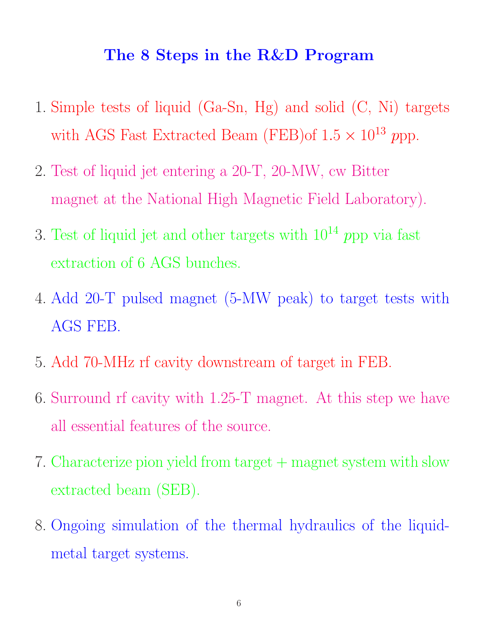#### The 8 Steps in the R&D Program

- 1. Simple tests of liquid (Ga-Sn, Hg) and solid (C, Ni) targets with AGS Fast Extracted Beam (FEB)of  $1.5 \times 10^{13}$  ppp.
- 2. Test of liquid jet entering a 20-T, 20-MW, cw Bitter magnet at the National High Magnetic Field Laboratory).
- 3. Test of liquid jet and other targets with  $10^{14}$  ppp via fast extraction of 6 AGS bunches.
- 4. Add 20-T pulsed magnet (5-MW peak) to target tests with AGS FEB.
- 5. Add 70-MHz rf cavity downstream of target in FEB.
- 6. Surround rf cavity with 1.25-T magnet. At this step we have all essential features of the source.
- 7. Characterize pion yield from target + magnet system with slow extracted beam (SEB).
- 8. Ongoing simulation of the thermal hydraulics of the liquidmetal target systems.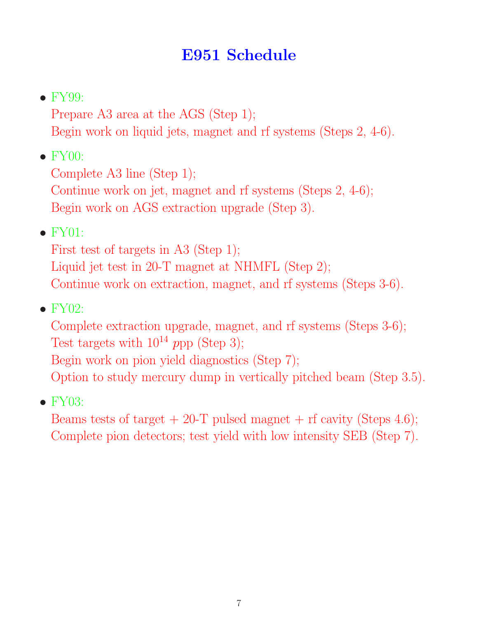## E951 Schedule

 $\bullet$  FY99:

Prepare A3 area at the AGS (Step 1); Begin work on liquid jets, magnet and rf systems (Steps 2, 4-6).

 $\bullet$  FY00:

Complete A3 line (Step 1); Continue work on jet, magnet and rf systems (Steps 2, 4-6); Begin work on AGS extraction upgrade (Step 3).

 $\bullet$  FY01:

First test of targets in A3 (Step 1); Liquid jet test in 20-T magnet at NHMFL (Step 2); Continue work on extraction, magnet, and rf systems (Steps 3-6).

 $\bullet$  FY02:

Complete extraction upgrade, magnet, and rf systems (Steps 3-6); Test targets with  $10^{14}$  ppp (Step 3);

Begin work on pion yield diagnostics (Step 7);

Option to study mercury dump in vertically pitched beam (Step 3.5).

 $\bullet$  FY03:

Beams tests of target  $+ 20$ -T pulsed magnet  $+$  rf cavity (Steps 4.6); Complete pion detectors; test yield with low intensity SEB (Step 7).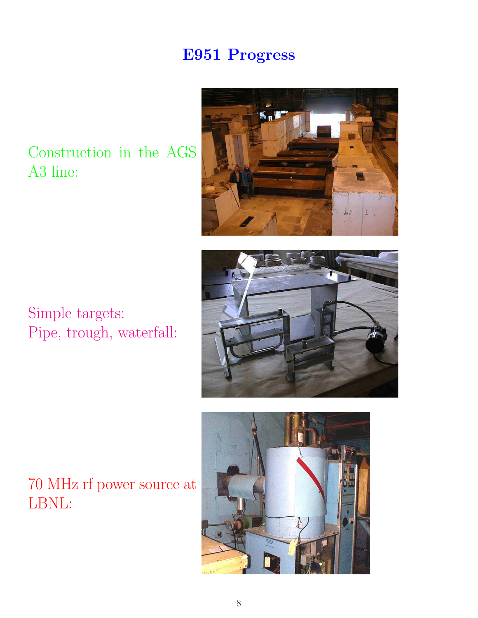# E951 Progress

Construction in the AGS A3 line:







70 MHz rf power source at LBNL: